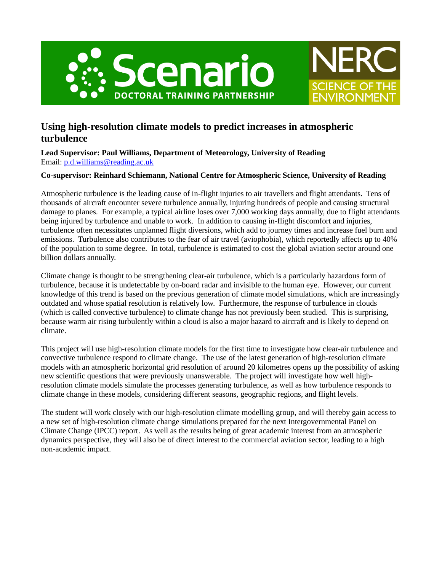



# **Using high-resolution climate models to predict increases in atmospheric turbulence**

**Lead Supervisor: Paul Williams, Department of Meteorology, University of Reading** Email: [p.d.williams@reading.ac.uk](mailto:p.d.williams@reading.ac.uk)

## **Co-supervisor: Reinhard Schiemann, National Centre for Atmospheric Science, University of Reading**

Atmospheric turbulence is the leading cause of in-flight injuries to air travellers and flight attendants. Tens of thousands of aircraft encounter severe turbulence annually, injuring hundreds of people and causing structural damage to planes. For example, a typical airline loses over 7,000 working days annually, due to flight attendants being injured by turbulence and unable to work. In addition to causing in-flight discomfort and injuries, turbulence often necessitates unplanned flight diversions, which add to journey times and increase fuel burn and emissions. Turbulence also contributes to the fear of air travel (aviophobia), which reportedly affects up to 40% of the population to some degree. In total, turbulence is estimated to cost the global aviation sector around one billion dollars annually.

Climate change is thought to be strengthening clear-air turbulence, which is a particularly hazardous form of turbulence, because it is undetectable by on-board radar and invisible to the human eye. However, our current knowledge of this trend is based on the previous generation of climate model simulations, which are increasingly outdated and whose spatial resolution is relatively low. Furthermore, the response of turbulence in clouds (which is called convective turbulence) to climate change has not previously been studied. This is surprising, because warm air rising turbulently within a cloud is also a major hazard to aircraft and is likely to depend on climate.

This project will use high-resolution climate models for the first time to investigate how clear-air turbulence and convective turbulence respond to climate change. The use of the latest generation of high-resolution climate models with an atmospheric horizontal grid resolution of around 20 kilometres opens up the possibility of asking new scientific questions that were previously unanswerable. The project will investigate how well highresolution climate models simulate the processes generating turbulence, as well as how turbulence responds to climate change in these models, considering different seasons, geographic regions, and flight levels.

The student will work closely with our high-resolution climate modelling group, and will thereby gain access to a new set of high-resolution climate change simulations prepared for the next Intergovernmental Panel on Climate Change (IPCC) report. As well as the results being of great academic interest from an atmospheric dynamics perspective, they will also be of direct interest to the commercial aviation sector, leading to a high non-academic impact.